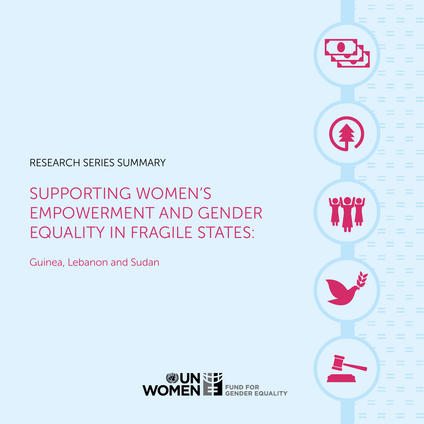#### RESEARCH SERIES SUMMARY

### SUPPORTING WOMEN'S EMPOWERMENT AND GENDER EQUALITY IN FRAGILE STATES:

Guinea, Lebanon and Sudan

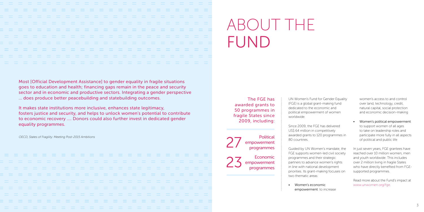Most [Official Development Assistance] to gender equality in fragile situations goes to education and health; financing gaps remain in the peace and security sector and in economic and productive sectors. Integrating a gender perspective … does produce better peacebuilding and statebuilding outcomes.

It makes state institutions more inclusive, enhances state legitimacy, fosters justice and security, and helps to unlock women's potential to contribute to economic recovery …. Donors could also further invest in dedicated gender equality programmes.

OECD, States of Fragility: Meeting Post-2015 Ambitions

 $\pm$  2  $\pm$  2  $\pm$  2  $\pm$  2  $\pm$  2  $\pm$  2  $\pm$  2  $\pm$  3

UN Women's Fund for Gender Equality (FGE) is a global grant-making fund dedicated to the economic and political empowerment of women worldwide.

Since 2009, the FGE has delivered US\$ 64 million in competitively awarded grants to 120 programmes in 80 countries.

Economic empowerment<br>programmes Guided by UN Women's mandate, the FGE supports women-led civil society programmes and their strategic partners to advance women's rights in line with national development priorities. Its grant-making focuses on two thematic areas:

• Women's economic

empowerment: to increase

women's access to and control over land, technology, credit, natural capital, social protection and economic decision-making

• Women's political empowerment: to support women of all ages to take on leadership roles and participate more fully in all aspects of political and public life

In just seven years, FGE grantees have reached over 10 million women, men and youth worldwide. This includes over 2 million living in fragile States who have directly benefited from FGEsupported programmes.

Read more about the Fund's impact at www.unwomen.org/fge.

# ABOUT THE FUND

The FGE has awarded grants to 50 programmes in fragile States since 2009, including:

> **Political** empowerment<br>programmes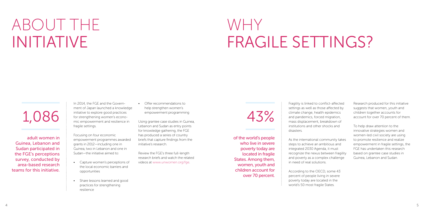In 2014, the FGE and the Government of Japan launched a knowledge initiative to explore good practices for strengthening women's economic empowerment and resilience in fragile settings.

Focusing on four economic empowerment programmes awarded grants in 2012—including one in Guinea, two in Lebanon and one in Sudan—the initiative aimed to:

- Capture women's perceptions of the local economic barriers and opportunities
- Share lessons learned and good practices for strengthening resilience

• Offer recommendations to help strengthen women's empowerment programming

Using grantee case studies in Guinea, Lebanon and Sudan as entry points for knowledge gathering, the FGE has produced a series of country briefs that capture findings from the initiative's research.

Review the FGE's three full-length research briefs and watch the related videos at www.unwomen.org/fge.

# ABOUT THE INITIATIVE

adult women in Guinea, Lebanon and Sudan participated in the FGE's perceptions survey, conducted by area-based research teams for this initiative.

# 1,086

Fragility is linked to conflict-affected settings as well as those affected by climate change, health epidemics and pandemics, forced migration, mass displacement, breakdown of institutions and other shocks and disasters.

As the international community takes steps to achieve an ambitious and integrated 2030 Agenda, it must recognize the nexus between fragility and poverty as a complex challenge in need of real solutions.

According to the OECD, some 43 percent of people living in severe poverty today are located in the world's 50 most fragile States.

Research produced for this initiative suggests that women, youth and children together accounts for account for over 70 percent of them.

To help draw attention to the innovative strategies women and women-led civil society are using to promote resilience and realize empowerment in fragile settings, the FGE has undertaken this research based on grantee case studies in Guinea, Lebanon and Sudan.

# WHY FRAGILE SETTINGS?

of the world's people who live in severe poverty today are located in fragile States. Among them, women, youth and children account for over 70 percent.

43%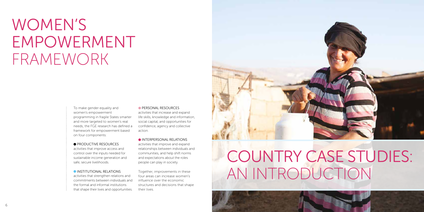

To make gender equality and women's empowerment programming in fragile States smarter and more targeted to women's real needs, the FGE research has defined a framework for empowerment based on four components:

#### **PRODUCTIVE RESOURCES**

activities that improve access and control over the inputs needed for sustainable income generation and safe, secure livelihoods.

#### **INSTITUTIONAL RELATIONS**

activities that strengthen relations and commitments between individuals and the formal and informal institutions that shape their lives and opportunities.

#### **PERSONAL RESOURCES**

activities that increase and expand life skills, knowledge and information, social capital, and opportunities for confidence, agency and collective action.

#### INTERPERSONAL RELATIONS

activities that improve and expand relationships between individuals and communities, and help shift norms and expectations about the roles people can play in society.

Together, improvements in these four areas can increase women's influence over the economic structures and decisions that shape their lives.



## WOMEN'S EMPOWERMENT FRAMEWORK

# COUNTRY CASE STUDIES: AN INTRODUCTION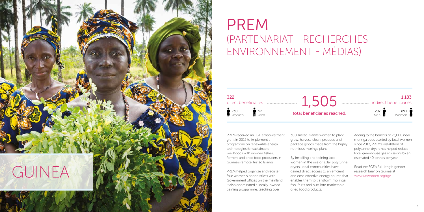PREM received an FGE empowerment grant in 2012 to implement a programme on renewable energy technologies for sustainable livelihoods with women fishers, farmers and dried food producers in Guinea's remote Tristão Islands.

PREM helped organize and register four women's cooperatives with Government offices on the mainland. It also coordinated a locally-owned training programme, teaching over

300 Tristão Islands women to plant, grow, harvest, clean, produce and package goods made from the highly nutritious moringa plant.



By installing and training local women in the use of solar polytunnel dryers, local communities have gained direct access to an efficient and cost-effective energy source that enables them to transform moringa, fish, fruits and nuts into marketable dried food products.

Adding to the benefits of 25,000 new moringa trees planted by local women since 2013, PREM's installation of polytunnel dryers has helped reduce local greenhouse gas emissions by an estimated 40 tonnes per year.

Read the FGE's full-length gender research brief on Guinea at www.unwomen.org/fge.

### PREM (PARTENARIAT - RECHERCHES - ENVIRONNEMENT - MÉDIAS)

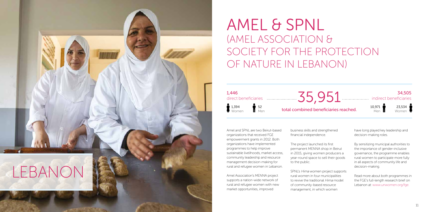### AMEL & SPNL (AMEL ASSOCIATION & SOCIETY FOR THE PROTECTION OF NATURE IN LEBANON)

Amel and SPNL are two Beirut-based organizations that received FGE empowerment grants in 2012. Both organizations have implemented programmes to help improve sustainable livelihoods, market access, community leadership and resource management decision-making for rural and refugee women in Lebanon.

Amel Association's MENNA project supports a nation-wide network of rural and refugee women with new market opportunities, improved

business skills and strengthened financial independence.

The project launched its first permanent MENNA shop in Beirut in 2015, giving women producers a year-round space to sell their goods to the public.



SPNL's Hima women project supports rural women in four municipalities to revive the traditional Hima model of community-based resource management, in which women

have long played key leadership and decision-making roles.

By sensitizing municipal authorities to the importance of gender-inclusive governance, the programme enables rural women to participate more fully in all aspects of community life and decision-making.

Read more about both programmes in the FGE's full-length research brief on Lebanon at: www.unwomen.org/fge.

total combined beneficiaries reached.

34,505 indirect beneficiaries



23,534 Women

10,971 Men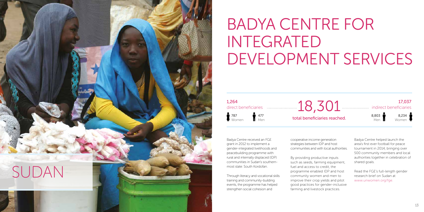# BADYA CENTRE FOR INTEGRATED DEVELOPMENT SERVICES

Badya Centre received an FGE grant in 2012 to implement a gender-integrated livelihoods and peacebuilding programme with rural and internally displaced (IDP) communities in Sudan's southernmost state: South Kordofan.

Through literacy and vocational skills training and community-building events, the programme has helped strengthen social cohesion and

cooperative income generation strategies between IDP and host communities and with local authorities.

 $1,264$  direct beneficiaries  $18,301$ direct beneficiaries



By providing productive inputs such as seeds, farming equipment, fuel and access to credit, the programme enabled IDP and host community women and men to improve their crop yields and pilot good practices for gender-inclusive farming and livestock practices.

Badya Centre helped launch the area's first ever football for peace tournament in 2014, bringing over 500 community members and local authorities together in celebration of shared goals.

Read the FGE's full-length gender research brief on Sudan at www.unwomen.org/fge.



787 Women

477 Men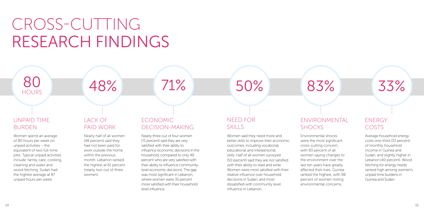80 48% 71% 50% 83% 33%

Nearly half of all women (48 percent) said they had not been paid for work outside the home within the previous month. Lebanon ranked the highest at 61 percent (nearly two out of three women).

### ENVIRONMENTAL **SHOCKS**

### UNPAID TIME BURDEN

### LACK OF PAID WORK

 $\Lambda$  OO/

 $\rightarrow$  40

Environmental shocks were the most significant cross-cutting concern, with 83 percent of all women saying changes to the environment over the last ten years have greatly affected their lives. Guinea ranked the highest, with 98 percent of women noting environmental concerns.

#### NEED FOR **SKILLS**

Women spend an average of 80 hours per week on unpaid activities – the equivalent of two full-time jobs. Typical unpaid activities include: family care, cooking, cleaning and water and wood fetching. Sudan had the highest average at 87 unpaid hours per week.

Women said they need more and better skills to improve their economic outcomes, including vocational, educational and interpersonal skills. Half of all women surveyed (50 percent) said they are not satisfied with their ability to read and write. Women were most satisfied with their relative influence over household decisions in Sudan, and most dissatisfied with community level influence in Lebanon.

Average household energy costs one-third (33 percent) of monthly household income in Guinea and Sudan, and slightly higher in Lebanon (40 percent). Wood fetching for energy needs ranked high among women's unpaid time burdens in Guinea and Sudan.

#### ENERGY COSTS

Nearly three out of four women (71 percent) said they are very satisfied with their ability to influence economic decisions in the household, compared to only 49 percent who are very satisfied with their ability to influence communitylevel economic decisions. The gap was most significant in Lebanon, where women were 35 percent more satisfied with their household level influence.

### ECONOMIC DECISION-MAKING

# CROSS-CUTTING RESEARCH FINDINGS

HOURS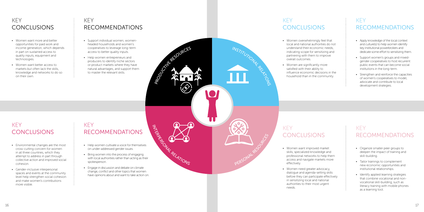

- Women want more and better opportunities for paid work and income generation, which depends in part on sustained access to quality inputs, equipment and technologies.
- Women want better access to markets but often lack the skills, knowledge and networks to do so on their own.

- Environmental changes are the most cross-cutting concern for women in all three countries, which they attempt to address in part through collective action and improved social cohesion.
- Gender-inclusive interpersonal spaces and events at the community level help strengthen social cohesion and make women's contributions more visible.

### **KEY** CONCLUSIONS

#### KEY **CONCLUSIONS**

#### **KEY** RECOMMENDATIONS

#### **KEY** RECOMMENDATIONS

- Women overwhelmingly feel that local and national authorities do not understand their economic needs, indicating scope for sensitizing and partnering with them to improve overall outcomes.
- Women are significantly more satisfied with their ability to influence economic decisions in the household than in the community.

- Women want improved market skills, specialized knowledge and professional networks to help them access and navigate markets more effectively.
- Women need greater advocacy, dialogue and agenda-setting skills in sensitizing local and national authorities to their most urgent needs.

before they can participate effectively

### KEY CONCLUSIONS

### KEY CONCLUSIONS

#### KEY RECOMMENDATIONS

#### KEY RECOMMENDATIONS

- Support individual women, womenheaded households and women's cooperatives to leverage long-term access to better quality inputs.
- Help women entrepreneurs and producers to identify niche sectors or product markets where they have natural advantages, and support them to master the relevant skills.

- Help women cultivate a voice for themselves on under-addressed gender issues.
- Bring women into the process of engaging with local authorities rather than acting as their spokesperson.
- Engage in discussion and debate on climate change, conflict and other topics that women have opinions about and want to take action on.
- Apply knowledge of the local context and culture(s) to help women identify key institutional powerbrokers and dedicate some effort to sensitizing them.
- Support women's groups and mixedgender cooperatives to host recurrent public events that can become social institutions in the long-term.
- Strengthen and reinforce the capacities of women's cooperatives to model, advocate and contribute to local development strategies.

- Organize smaller peer groups to deepen the impact of training and skill-building.
- Tailor trainings to complement new economic opportunities and institutional relationships.
- Identify applied learning strategies that combine vocational and nonvocational skill-building, such as literacy training with mobile phones as a learning tool.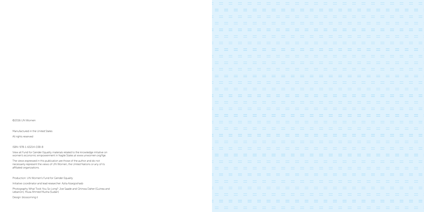©2016 UN Women

Manufactured in the United States

All rights reserved

ISBN: 978-1-63214-038-8

View all Fund for Gender Equality materials related to the knowledge initiative on women's economic empowerment in fragile States at www.unwomen.org/fge.

The views expressed in this publication are those of the author and do not necessarily represent the views of UN Women, the United Nations or any of its affiliated organizations.

Production: UN Women's Fund for Gender Equality

Initiative coordinator and lead researcher: Azita Azargoshasb

Photography What Took You So Long?: Joe Saade and Ghinwa Daher (Guinea and Lebanon); Musa Ahmed Musha (Sudan)

Design: blossoming.it

 $=$  $=$  $=$  $=$  $\equiv$  $=$  $\sim$  $=$  $=$  $\equiv$  $=$  $=$  $=$  $=$  $\equiv$  $=$  $=$  $=$  $=$  $=$  $=$  $=$  $=$  $=$  $\equiv$  $=$  $=$  $=$  $=$  $=$  $=$  $=$  $\equiv$  $=$  $=$  $=$  $\equiv$  $=$  $=$  $\equiv$  $\equiv$  $=$  $=$  $=$  $=$  $\equiv$  $\equiv$  $\equiv$  $=$  $\equiv$  $\equiv$  $= -1$ = = = = = =  $\equiv$   $\equiv$  $\sim$   $\sim$  $\sim$  $=$  $\equiv$  $=$  $= -1$  $=$  $= -1$  $=$  $\equiv$